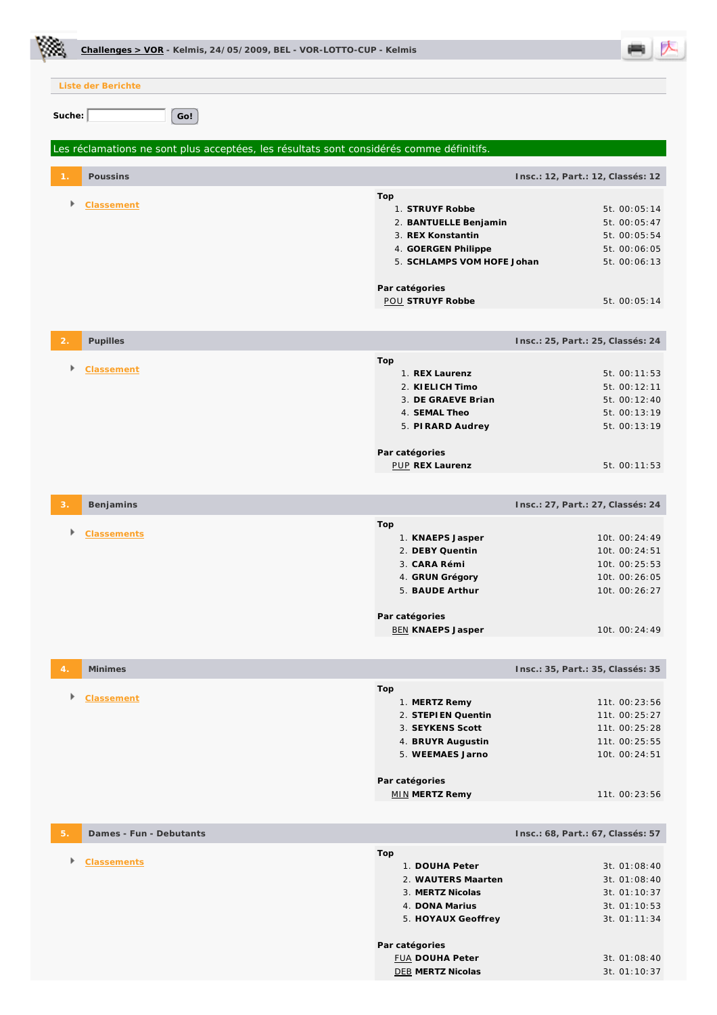|                |                                               | Challenges > VOR - Kelmis, 24/05/2009, BEL - VOR-LOTTO-CUP - Kelmis |                                                                                          |                            |                                   |  |  |
|----------------|-----------------------------------------------|---------------------------------------------------------------------|------------------------------------------------------------------------------------------|----------------------------|-----------------------------------|--|--|
|                | Liste der Berichte                            |                                                                     |                                                                                          |                            |                                   |  |  |
| Suche:         |                                               |                                                                     |                                                                                          |                            |                                   |  |  |
|                |                                               | Go!                                                                 |                                                                                          |                            |                                   |  |  |
|                |                                               |                                                                     | Les réclamations ne sont plus acceptées, les résultats sont considérés comme définitifs. |                            |                                   |  |  |
|                | Poussins<br>Insc.: 12, Part.: 12, Classés: 12 |                                                                     |                                                                                          |                            |                                   |  |  |
|                | <b>Classement</b>                             |                                                                     | Top<br>1. STRUYF Robbe                                                                   |                            | 5t. 00:05:14                      |  |  |
|                |                                               |                                                                     | 2. BANTUELLE Benjamin                                                                    |                            | 5t. 00:05:47                      |  |  |
|                |                                               |                                                                     | 3. REX Konstantin                                                                        |                            | 5t. 00:05:54                      |  |  |
|                |                                               |                                                                     | 4. GOERGEN Philippe                                                                      |                            | 5t. 00:06:05                      |  |  |
|                |                                               |                                                                     |                                                                                          | 5. SCHLAMPS VOM HOFE Johan | 5t. 00:06:13                      |  |  |
|                |                                               |                                                                     |                                                                                          |                            |                                   |  |  |
|                |                                               |                                                                     | Par catégories<br><b>POU STRUYF Robbe</b>                                                |                            | 5t. 00:05:14                      |  |  |
|                |                                               |                                                                     |                                                                                          |                            |                                   |  |  |
| $\overline{2}$ | Pupilles                                      | Insc.: 25, Part.: 25, Classés: 24                                   |                                                                                          |                            |                                   |  |  |
|                |                                               |                                                                     | Top                                                                                      |                            |                                   |  |  |
|                | <b>Classement</b>                             |                                                                     | 1. REX Laurenz                                                                           |                            | 5t. 00:11:53                      |  |  |
|                |                                               |                                                                     | 2. KI ELICH Timo                                                                         |                            | 5t. 00:12:11                      |  |  |
|                |                                               |                                                                     | 3. DE GRAEVE Brian                                                                       |                            | 5t. 00:12:40                      |  |  |
|                |                                               |                                                                     | 4. SEMAL Theo                                                                            |                            | 5t. 00:13:19                      |  |  |
|                |                                               |                                                                     | 5. PIRARD Audrey                                                                         |                            | 5t. 00:13:19                      |  |  |
|                |                                               |                                                                     |                                                                                          |                            |                                   |  |  |
|                |                                               |                                                                     | Par catégories<br><b>PUP REX Laurenz</b>                                                 |                            | 5t. 00:11:53                      |  |  |
|                |                                               |                                                                     |                                                                                          |                            |                                   |  |  |
|                | Benjamins                                     |                                                                     |                                                                                          |                            | Insc.: 27, Part.: 27, Classés: 24 |  |  |
|                |                                               |                                                                     | Top                                                                                      |                            |                                   |  |  |
|                | <b>Classements</b>                            |                                                                     | 1. KNAEPS Jasper                                                                         |                            | 10t. 00:24:49                     |  |  |
|                |                                               |                                                                     | 2. DEBY Quentin                                                                          |                            | 10t. 00:24:51                     |  |  |
|                |                                               |                                                                     | 3. CARA Rémi                                                                             |                            | 10t. 00:25:53                     |  |  |
|                |                                               |                                                                     | 4. GRUN Grégory                                                                          |                            | 10t. 00:26:05                     |  |  |
|                |                                               |                                                                     | 5. BAUDE Arthur                                                                          |                            | 10t. 00:26:27                     |  |  |
|                |                                               |                                                                     |                                                                                          |                            |                                   |  |  |
|                |                                               |                                                                     | Par catégories<br><b>BEN KNAEPS Jasper</b>                                               |                            | 10t. 00:24:49                     |  |  |
|                |                                               |                                                                     |                                                                                          |                            |                                   |  |  |
|                | Minimes                                       |                                                                     |                                                                                          |                            | Insc.: 35, Part.: 35, Classés: 35 |  |  |
|                |                                               |                                                                     |                                                                                          |                            |                                   |  |  |
|                | Classement                                    |                                                                     | Top<br>1. MERTZ Remy                                                                     |                            | 11t. 00:23:56                     |  |  |
|                |                                               |                                                                     | 2. STEPIEN Quentin                                                                       |                            | 11t. 00:25:27                     |  |  |
|                |                                               |                                                                     | 3. SEYKENS Scott                                                                         |                            | 11t. 00:25:28                     |  |  |
|                |                                               |                                                                     | 4. BRUYR Augustin                                                                        |                            | 11t. 00:25:55                     |  |  |
|                |                                               |                                                                     | 5. WEEMAES Jarno                                                                         |                            | 10t. 00:24:51                     |  |  |
|                |                                               |                                                                     |                                                                                          |                            |                                   |  |  |
|                |                                               |                                                                     | Par catégories<br><b>MIN MERTZ Remy</b>                                                  |                            | 11t. 00:23:56                     |  |  |
|                |                                               |                                                                     |                                                                                          |                            |                                   |  |  |
| 5.             | Dames - Fun - Debutants                       |                                                                     |                                                                                          |                            | Insc.: 68, Part.: 67, Classés: 57 |  |  |
|                |                                               |                                                                     | Top                                                                                      |                            |                                   |  |  |
| Þ              | <b>Classements</b>                            |                                                                     | 1. DOUHA Peter                                                                           |                            | 3t. 01:08:40                      |  |  |
|                |                                               |                                                                     |                                                                                          | 2. WAUTERS Maarten         | 3t. 01:08:40                      |  |  |
|                |                                               |                                                                     | 3. MERTZ Nicolas                                                                         |                            | 3t. 01:10:37                      |  |  |
|                |                                               |                                                                     | 4. DONA Marius                                                                           |                            | 3t. 01:10:53                      |  |  |
|                |                                               |                                                                     |                                                                                          | 5. HOYAUX Geoffrey         | 3t. 01:11:34                      |  |  |
|                |                                               |                                                                     |                                                                                          |                            |                                   |  |  |
|                |                                               |                                                                     | Par catégories                                                                           |                            |                                   |  |  |
|                |                                               |                                                                     | <b>FUA DOUHA Peter</b>                                                                   |                            | 3t. 01:08:40                      |  |  |
|                |                                               |                                                                     | <b>DEB MERTZ Nicolas</b>                                                                 |                            | 3t. 01:10:37                      |  |  |